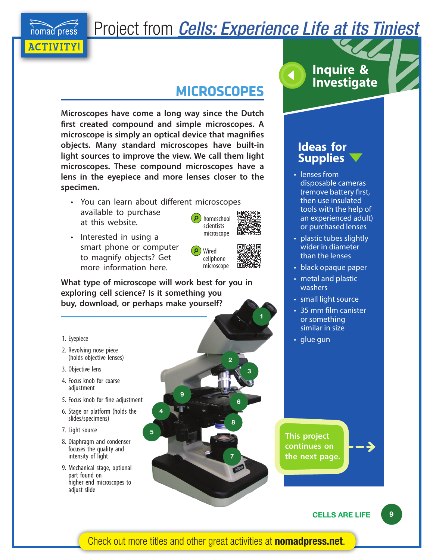Project from *[Cells: Experience Life at its Tiniest](http://nomadpress.net/books/cells/)*

# **MICROSCOPES**

**Microscopes have come a long way since the Dutch first created compound and simple microscopes. A microscope is simply an optical device that magnifies objects. Many standard microscopes have built-in light sources to improve the view. We call them light microscopes. These compound microscopes have a lens in the eyepiece and more lenses closer to the specimen.**

- You can learn about different microscopes
- available to purchase at this website.
- Interested in using a smart phone or computer to magnify objects? Get more information here.

Wired cellphone microscope

homeschool scientists microscope

**2**

**3**

**6**

**7**

**8**

**1**

**What type of microscope will work best for you in exploring cell science? Is it something you buy, download, or perhaps make yourself?** 

**4**

**9**

**5**

1. Eyepiece

[ACTIVITY!](http://nomadpress.net/projects/)

nomad press

- 2. Revolving nose piece (holds objective lenses)
- 3. Objective lens
- 4. Focus knob for coarse adjustment
- 5. Focus knob for fine adjustment
- 6. Stage or platform (holds the slides/specimens)
- 7. Light source
- 8. Diaphragm and condenser focuses the quality and intensity of light
- 9. Mechanical stage, optional part found on higher end microscopes to adjust slide



## **Ideas for Supplies**

- lenses from disposable cameras (remove battery first, then use insulated tools with the help of an experienced adult) or purchased lenses
- plastic tubes slightly wider in diameter than the lenses
- black opaque paper
- metal and plastic washers
- small light source
- 35 mm film canister or something similar in size
- glue gun

**This project continues on the next page.**



[Check out more titles and other great activities at](http://nomadpress.net/) **nomadpress.net**.